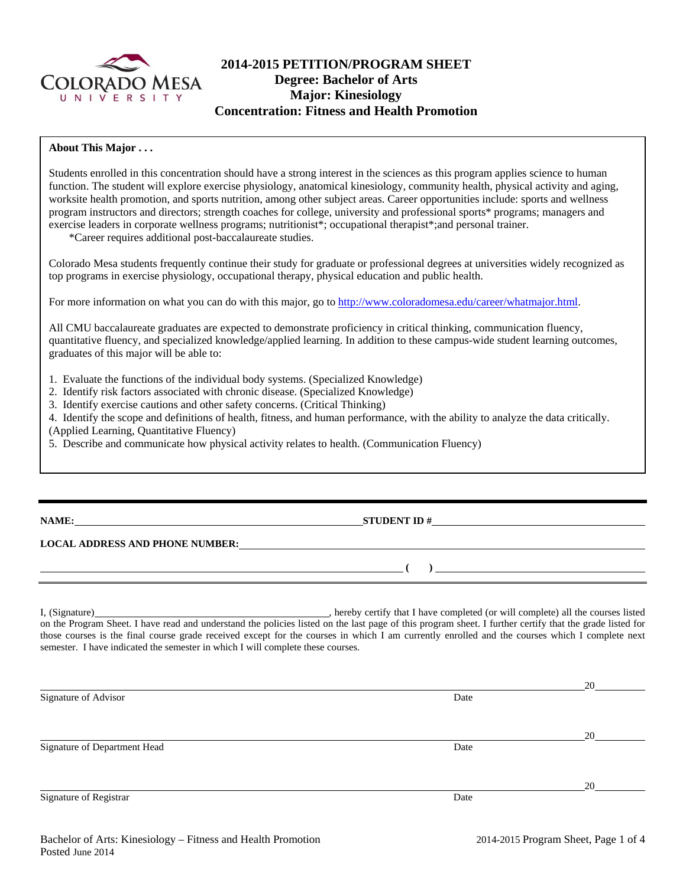

# **2014-2015 PETITION/PROGRAM SHEET Degree: Bachelor of Arts Major: Kinesiology Concentration: Fitness and Health Promotion**

### **About This Major . . .**

Students enrolled in this concentration should have a strong interest in the sciences as this program applies science to human function. The student will explore exercise physiology, anatomical kinesiology, community health, physical activity and aging, worksite health promotion, and sports nutrition, among other subject areas. Career opportunities include: sports and wellness program instructors and directors; strength coaches for college, university and professional sports\* programs; managers and exercise leaders in corporate wellness programs; nutritionist\*; occupational therapist\*;and personal trainer.

\*Career requires additional post-baccalaureate studies.

Colorado Mesa students frequently continue their study for graduate or professional degrees at universities widely recognized as top programs in exercise physiology, occupational therapy, physical education and public health.

For more information on what you can do with this major, go to http://www.coloradomesa.edu/career/whatmajor.html.

All CMU baccalaureate graduates are expected to demonstrate proficiency in critical thinking, communication fluency, quantitative fluency, and specialized knowledge/applied learning. In addition to these campus-wide student learning outcomes, graduates of this major will be able to:

1. Evaluate the functions of the individual body systems. (Specialized Knowledge)

2. Identify risk factors associated with chronic disease. (Specialized Knowledge)

3. Identify exercise cautions and other safety concerns. (Critical Thinking)

4. Identify the scope and definitions of health, fitness, and human performance, with the ability to analyze the data critically. (Applied Learning, Quantitative Fluency)

5. Describe and communicate how physical activity relates to health. (Communication Fluency)

**NAME: STUDENT ID #** 

 **( )** 

# **LOCAL ADDRESS AND PHONE NUMBER:**

I, (Signature) , hereby certify that I have completed (or will complete) all the courses listed on the Program Sheet. I have read and understand the policies listed on the last page of this program sheet. I further certify that the grade listed for those courses is the final course grade received except for the courses in which I am currently enrolled and the courses which I complete next semester. I have indicated the semester in which I will complete these courses.

|                              |      | 20 |
|------------------------------|------|----|
| Signature of Advisor         | Date |    |
|                              |      |    |
|                              |      |    |
|                              |      | 20 |
| Signature of Department Head | Date |    |
|                              |      |    |
|                              |      | 20 |
| Signature of Registrar       | Date |    |
|                              |      |    |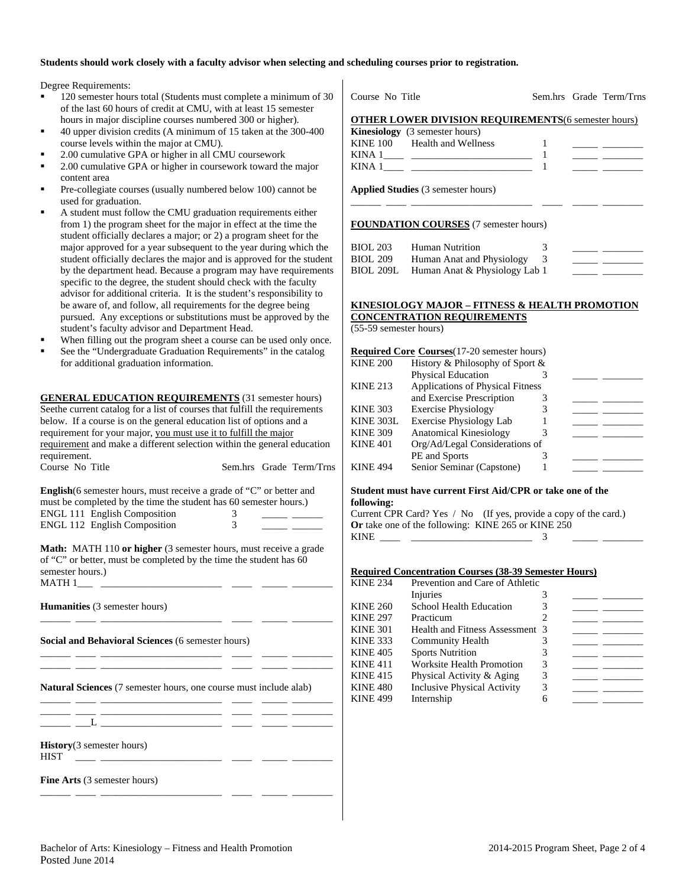#### **Students should work closely with a faculty advisor when selecting and scheduling courses prior to registration.**

Degree Requirements:

- 120 semester hours total (Students must complete a minimum of 30 Course No Title of the last 60 hours of credit at CMU, with at least 15 semester hours in major discipline courses numbered 300 or higher).
- 40 upper division credits (A minimum of 15 taken at the 300-400 course levels within the major at CMU).
- 2.00 cumulative GPA or higher in all CMU coursework
- 2.00 cumulative GPA or higher in coursework toward the major content area
- Pre-collegiate courses (usually numbered below 100) cannot be used for graduation.
- A student must follow the CMU graduation requirements either from 1) the program sheet for the major in effect at the time the student officially declares a major; or 2) a program sheet for the major approved for a year subsequent to the year during which the student officially declares the major and is approved for the student by the department head. Because a program may have requirements specific to the degree, the student should check with the faculty advisor for additional criteria. It is the student's responsibility to be aware of, and follow, all requirements for the degree being pursued. Any exceptions or substitutions must be approved by the student's faculty advisor and Department Head.
- When filling out the program sheet a course can be used only once.
- See the "Undergraduate Graduation Requirements" in the catalog for additional graduation information.

**GENERAL EDUCATION REQUIREMENTS** (31 semester hours) Seethe current catalog for a list of courses that fulfill the requirements below. If a course is on the general education list of options and a requirement for your major, you must use it to fulfill the major requirement and make a different selection within the general education requirement.

Course No Title Sem.hrs Grade Term/Trns **English**(6 semester hours, must receive a grade of "C" or better and

must be completed by the time the student has 60 semester hours.) ENGL 111 English Composition 3 \_\_\_\_\_ \_\_\_\_\_ ENGL 112 English Composition 3 \_\_\_\_\_ \_\_\_\_\_\_

**Math:** MATH 110 **or higher** (3 semester hours, must receive a grade of "C" or better, must be completed by the time the student has 60 semester hours.) MATH 1\_\_\_ \_\_\_\_\_\_\_\_\_\_\_\_\_\_\_\_\_\_\_\_\_\_\_\_ \_\_\_\_ \_\_\_\_\_ \_\_\_\_\_\_\_\_

**Humanities** (3 semester hours) \_\_\_\_\_\_ \_\_\_\_ \_\_\_\_\_\_\_\_\_\_\_\_\_\_\_\_\_\_\_\_\_\_\_\_ \_\_\_\_ \_\_\_\_\_ \_\_\_\_\_\_\_\_ **Social and Behavioral Sciences** (6 semester hours) \_\_\_\_\_\_ \_\_\_\_ \_\_\_\_\_\_\_\_\_\_\_\_\_\_\_\_\_\_\_\_\_\_\_\_ \_\_\_\_ \_\_\_\_\_ \_\_\_\_\_\_\_\_ \_\_\_\_\_\_ \_\_\_\_ \_\_\_\_\_\_\_\_\_\_\_\_\_\_\_\_\_\_\_\_\_\_\_\_ \_\_\_\_ \_\_\_\_\_ \_\_\_\_\_\_\_\_ **Natural Sciences** (7 semester hours, one course must include alab) \_\_\_\_\_\_ \_\_\_\_ \_\_\_\_\_\_\_\_\_\_\_\_\_\_\_\_\_\_\_\_\_\_\_\_ \_\_\_\_ \_\_\_\_\_ \_\_\_\_\_\_\_\_ \_\_\_\_\_\_ \_\_\_\_ \_\_\_\_\_\_\_\_\_\_\_\_\_\_\_\_\_\_\_\_\_\_\_\_ \_\_\_\_ \_\_\_\_\_ \_\_\_\_\_\_\_\_  $\_\_\_$   $\_\_\_$ 

**History**(3 semester hours)  $HIST \longrightarrow$ 

**Fine Arts** (3 semester hours)

|                                                                           | Kinesiology (3 semester hours)                      |   |                                                                                                                       |
|---------------------------------------------------------------------------|-----------------------------------------------------|---|-----------------------------------------------------------------------------------------------------------------------|
|                                                                           | KINE 100 Health and Wellness                        | 1 | the company of the company of the                                                                                     |
|                                                                           |                                                     | 1 |                                                                                                                       |
|                                                                           |                                                     | 1 |                                                                                                                       |
|                                                                           | Applied Studies (3 semester hours)                  |   |                                                                                                                       |
|                                                                           | <b>FOUNDATION COURSES</b> (7 semester hours)        |   |                                                                                                                       |
| <b>BIOL 203</b>                                                           | Human Nutrition                                     | 3 |                                                                                                                       |
| <b>BIOL 209</b>                                                           | Human Anat and Physiology                           | 3 |                                                                                                                       |
| <b>BIOL 209L</b>                                                          | Human Anat & Physiology Lab 1                       |   |                                                                                                                       |
|                                                                           | KINESIOLOGY MAJOR – FITNESS & HEALTH PROMOTION      |   |                                                                                                                       |
| (55-59 semester hours)                                                    | <b>CONCENTRATION REQUIREMENTS</b>                   |   |                                                                                                                       |
|                                                                           | <b>Required Core Courses</b> (17-20 semester hours) |   |                                                                                                                       |
|                                                                           | History & Philosophy of Sport &                     |   |                                                                                                                       |
|                                                                           | Physical Education                                  | 3 |                                                                                                                       |
|                                                                           | Applications of Physical Fitness                    |   |                                                                                                                       |
|                                                                           | and Exercise Prescription                           | 3 |                                                                                                                       |
|                                                                           | <b>Exercise Physiology</b>                          | 3 |                                                                                                                       |
| <b>KINE 200</b><br><b>KINE 213</b><br><b>KINE 303</b><br><b>KINE 303L</b> | <b>Exercise Physiology Lab</b>                      | 1 |                                                                                                                       |
| <b>KINE 309</b>                                                           | <b>Anatomical Kinesiology</b>                       | 3 | <u> The Common School and The Common School and The Common School and The Common School and The Common School and</u> |
| <b>KINE 401</b>                                                           | Org/Ad/Legal Considerations of<br>PE and Sports     | 3 |                                                                                                                       |

Sem hrs Grade Term/Trns

#### **Student must have current First Aid/CPR or take one of the following:**

Current CPR Card? Yes / No (If yes, provide a copy of the card.) **Or** take one of the following: KINE 265 or KINE 250 KINE  $\qquad \qquad$  3

#### **Required Concentration Courses (38-39 Semester Hours)**

| <b>KINE 234</b> | Prevention and Care of Athletic    |  |  |
|-----------------|------------------------------------|--|--|
|                 | Injuries                           |  |  |
| <b>KINE 260</b> | School Health Education            |  |  |
| <b>KINE 297</b> | Practicum                          |  |  |
| <b>KINE 301</b> | Health and Fitness Assessment 3    |  |  |
| <b>KINE 333</b> | <b>Community Health</b>            |  |  |
| <b>KINE 405</b> | <b>Sports Nutrition</b>            |  |  |
| KINE 411        | <b>Worksite Health Promotion</b>   |  |  |
| KINE 415        | Physical Activity & Aging          |  |  |
| <b>KINE 480</b> | <b>Inclusive Physical Activity</b> |  |  |
| <b>KINE 499</b> | Internship                         |  |  |

\_\_\_\_\_\_ \_\_\_\_ \_\_\_\_\_\_\_\_\_\_\_\_\_\_\_\_\_\_\_\_\_\_\_\_ \_\_\_\_ \_\_\_\_\_ \_\_\_\_\_\_\_\_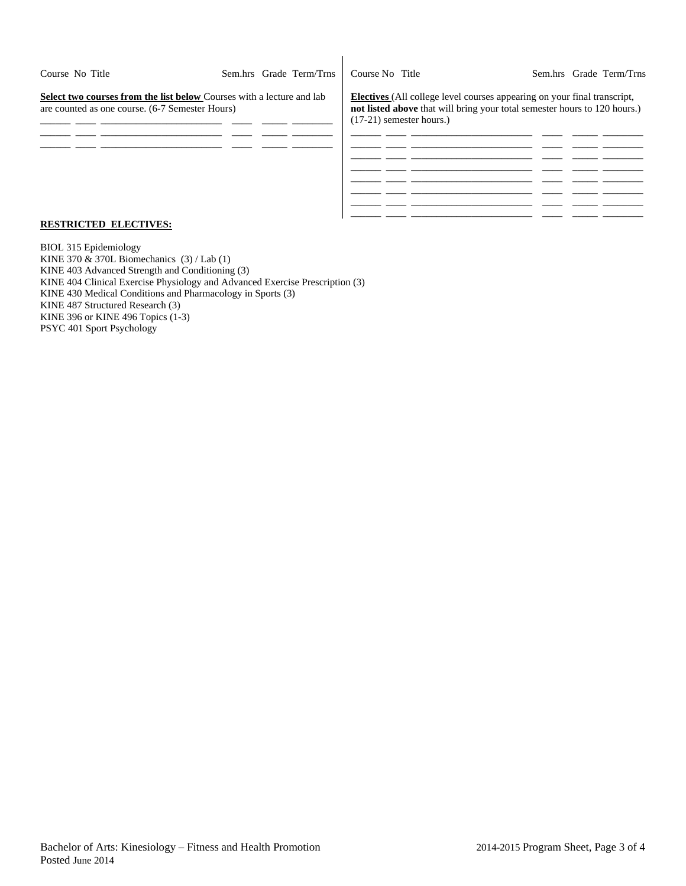| Course No Title                                                                                                                 |  | Sem.hrs Grade Term/Trns | Course No Title                                                                                                                                                                            |  | Sem.hrs Grade Term/Trns |
|---------------------------------------------------------------------------------------------------------------------------------|--|-------------------------|--------------------------------------------------------------------------------------------------------------------------------------------------------------------------------------------|--|-------------------------|
| <b>Select two courses from the list below Courses with a lecture and lab</b><br>are counted as one course. (6-7 Semester Hours) |  |                         | <b>Electives</b> (All college level courses appearing on your final transcript,<br>not listed above that will bring your total semester hours to 120 hours.)<br>$(17-21)$ semester hours.) |  |                         |
|                                                                                                                                 |  |                         |                                                                                                                                                                                            |  |                         |
|                                                                                                                                 |  |                         |                                                                                                                                                                                            |  |                         |
|                                                                                                                                 |  |                         |                                                                                                                                                                                            |  |                         |
|                                                                                                                                 |  |                         |                                                                                                                                                                                            |  |                         |

 $\mathbf{I}$ 

#### **RESTRICTED ELECTIVES:**

BIOL 315 Epidemiology KINE 370  $\&$  370L Biomechanics (3) / Lab (1) KINE 403 Advanced Strength and Conditioning (3) KINE 404 Clinical Exercise Physiology and Advanced Exercise Prescription (3) KINE 430 Medical Conditions and Pharmacology in Sports (3) KINE 487 Structured Research (3) KINE 396 or KINE 496 Topics (1-3) PSYC 401 Sport Psychology